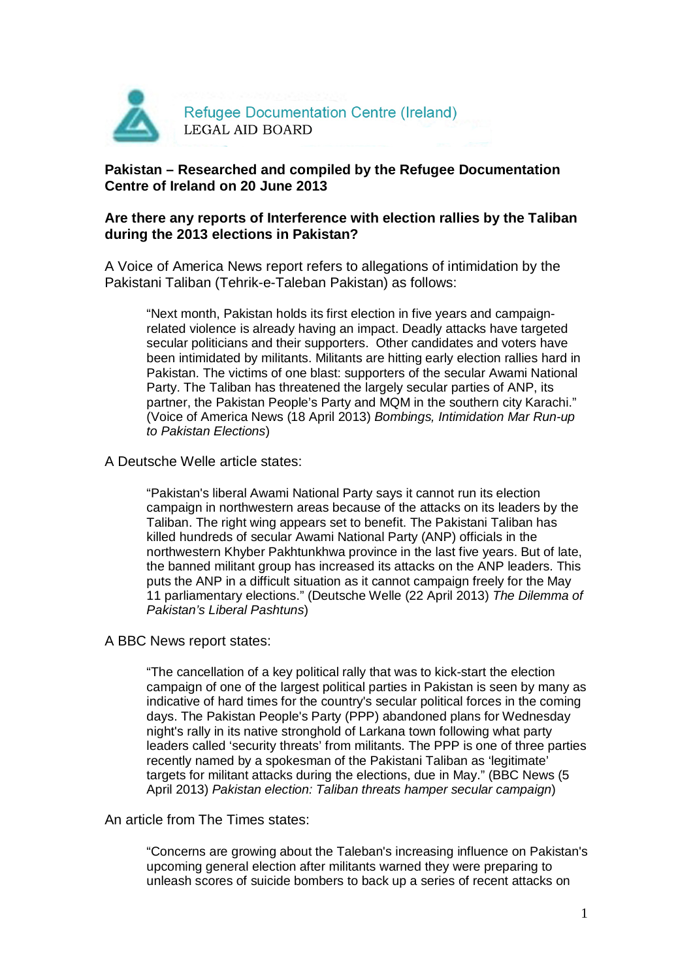

## **Pakistan – Researched and compiled by the Refugee Documentation Centre of Ireland on 20 June 2013**

### **Are there any reports of Interference with election rallies by the Taliban during the 2013 elections in Pakistan?**

A Voice of America News report refers to allegations of intimidation by the Pakistani Taliban (Tehrik-e-Taleban Pakistan) as follows:

"Next month, Pakistan holds its first election in five years and campaignrelated violence is already having an impact. Deadly attacks have targeted secular politicians and their supporters. Other candidates and voters have been intimidated by militants. Militants are hitting early election rallies hard in Pakistan. The victims of one blast: supporters of the secular Awami National Party. The Taliban has threatened the largely secular parties of ANP, its partner, the Pakistan People's Party and MQM in the southern city Karachi." (Voice of America News (18 April 2013) Bombings, Intimidation Mar Run-up to Pakistan Elections)

A Deutsche Welle article states:

"Pakistan's liberal Awami National Party says it cannot run its election campaign in northwestern areas because of the attacks on its leaders by the Taliban. The right wing appears set to benefit. The Pakistani Taliban has killed hundreds of secular Awami National Party (ANP) officials in the northwestern Khyber Pakhtunkhwa province in the last five years. But of late, the banned militant group has increased its attacks on the ANP leaders. This puts the ANP in a difficult situation as it cannot campaign freely for the May 11 parliamentary elections." (Deutsche Welle (22 April 2013) The Dilemma of Pakistan's Liberal Pashtuns)

A BBC News report states:

"The cancellation of a key political rally that was to kick-start the election campaign of one of the largest political parties in Pakistan is seen by many as indicative of hard times for the country's secular political forces in the coming days. The Pakistan People's Party (PPP) abandoned plans for Wednesday night's rally in its native stronghold of Larkana town following what party leaders called 'security threats' from militants. The PPP is one of three parties recently named by a spokesman of the Pakistani Taliban as 'legitimate' targets for militant attacks during the elections, due in May." (BBC News (5 April 2013) Pakistan election: Taliban threats hamper secular campaign)

An article from The Times states:

"Concerns are growing about the Taleban's increasing influence on Pakistan's upcoming general election after militants warned they were preparing to unleash scores of suicide bombers to back up a series of recent attacks on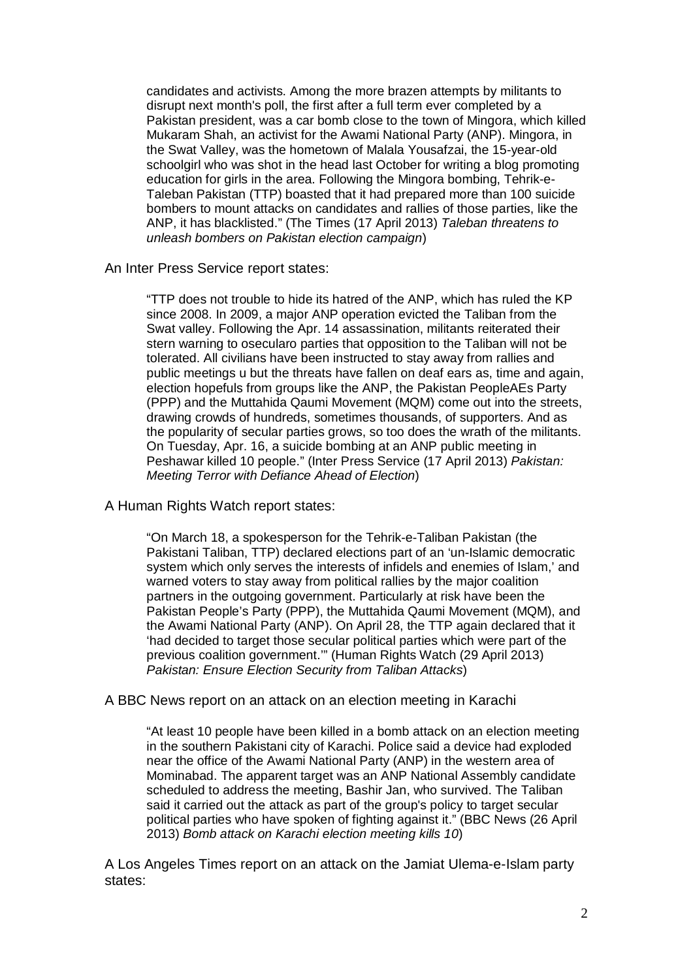candidates and activists. Among the more brazen attempts by militants to disrupt next month's poll, the first after a full term ever completed by a Pakistan president, was a car bomb close to the town of Mingora, which killed Mukaram Shah, an activist for the Awami National Party (ANP). Mingora, in the Swat Valley, was the hometown of Malala Yousafzai, the 15-year-old schoolgirl who was shot in the head last October for writing a blog promoting education for girls in the area. Following the Mingora bombing, Tehrik-e-Taleban Pakistan (TTP) boasted that it had prepared more than 100 suicide bombers to mount attacks on candidates and rallies of those parties, like the ANP, it has blacklisted." (The Times (17 April 2013) Taleban threatens to unleash bombers on Pakistan election campaign)

An Inter Press Service report states:

"TTP does not trouble to hide its hatred of the ANP, which has ruled the KP since 2008. In 2009, a major ANP operation evicted the Taliban from the Swat valley. Following the Apr. 14 assassination, militants reiterated their stern warning to osecularo parties that opposition to the Taliban will not be tolerated. All civilians have been instructed to stay away from rallies and public meetings u but the threats have fallen on deaf ears as, time and again, election hopefuls from groups like the ANP, the Pakistan PeopleAEs Party (PPP) and the Muttahida Qaumi Movement (MQM) come out into the streets, drawing crowds of hundreds, sometimes thousands, of supporters. And as the popularity of secular parties grows, so too does the wrath of the militants. On Tuesday, Apr. 16, a suicide bombing at an ANP public meeting in Peshawar killed 10 people." (Inter Press Service (17 April 2013) Pakistan: Meeting Terror with Defiance Ahead of Election)

#### A Human Rights Watch report states:

"On March 18, a spokesperson for the Tehrik-e-Taliban Pakistan (the Pakistani Taliban, TTP) declared elections part of an 'un-Islamic democratic system which only serves the interests of infidels and enemies of Islam,' and warned voters to stay away from political rallies by the major coalition partners in the outgoing government. Particularly at risk have been the Pakistan People's Party (PPP), the Muttahida Qaumi Movement (MQM), and the Awami National Party (ANP). On April 28, the TTP again declared that it 'had decided to target those secular political parties which were part of the previous coalition government.'" (Human Rights Watch (29 April 2013) Pakistan: Ensure Election Security from Taliban Attacks)

#### A BBC News report on an attack on an election meeting in Karachi

"At least 10 people have been killed in a bomb attack on an election meeting in the southern Pakistani city of Karachi. Police said a device had exploded near the office of the Awami National Party (ANP) in the western area of Mominabad. The apparent target was an ANP National Assembly candidate scheduled to address the meeting, Bashir Jan, who survived. The Taliban said it carried out the attack as part of the group's policy to target secular political parties who have spoken of fighting against it." (BBC News (26 April 2013) Bomb attack on Karachi election meeting kills 10)

A Los Angeles Times report on an attack on the Jamiat Ulema-e-Islam party states: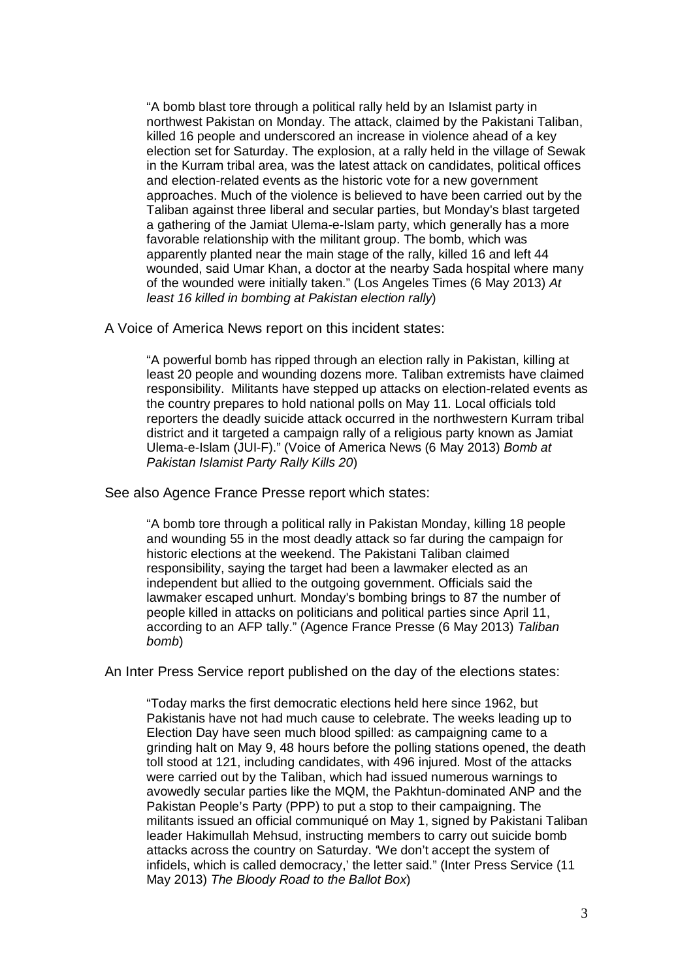"A bomb blast tore through a political rally held by an Islamist party in northwest Pakistan on Monday. The attack, claimed by the Pakistani Taliban, killed 16 people and underscored an increase in violence ahead of a key election set for Saturday. The explosion, at a rally held in the village of Sewak in the Kurram tribal area, was the latest attack on candidates, political offices and election-related events as the historic vote for a new government approaches. Much of the violence is believed to have been carried out by the Taliban against three liberal and secular parties, but Monday's blast targeted a gathering of the Jamiat Ulema-e-Islam party, which generally has a more favorable relationship with the militant group. The bomb, which was apparently planted near the main stage of the rally, killed 16 and left 44 wounded, said Umar Khan, a doctor at the nearby Sada hospital where many of the wounded were initially taken." (Los Angeles Times (6 May 2013) At least 16 killed in bombing at Pakistan election rally)

A Voice of America News report on this incident states:

"A powerful bomb has ripped through an election rally in Pakistan, killing at least 20 people and wounding dozens more. Taliban extremists have claimed responsibility. Militants have stepped up attacks on election-related events as the country prepares to hold national polls on May 11. Local officials told reporters the deadly suicide attack occurred in the northwestern Kurram tribal district and it targeted a campaign rally of a religious party known as Jamiat Ulema-e-Islam (JUI-F)." (Voice of America News (6 May 2013) Bomb at Pakistan Islamist Party Rally Kills 20)

See also Agence France Presse report which states:

"A bomb tore through a political rally in Pakistan Monday, killing 18 people and wounding 55 in the most deadly attack so far during the campaign for historic elections at the weekend. The Pakistani Taliban claimed responsibility, saying the target had been a lawmaker elected as an independent but allied to the outgoing government. Officials said the lawmaker escaped unhurt. Monday's bombing brings to 87 the number of people killed in attacks on politicians and political parties since April 11, according to an AFP tally." (Agence France Presse (6 May 2013) Taliban bomb)

An Inter Press Service report published on the day of the elections states:

"Today marks the first democratic elections held here since 1962, but Pakistanis have not had much cause to celebrate. The weeks leading up to Election Day have seen much blood spilled: as campaigning came to a grinding halt on May 9, 48 hours before the polling stations opened, the death toll stood at 121, including candidates, with 496 injured. Most of the attacks were carried out by the Taliban, which had issued numerous warnings to avowedly secular parties like the MQM, the Pakhtun-dominated ANP and the Pakistan People's Party (PPP) to put a stop to their campaigning. The militants issued an official communiqué on May 1, signed by Pakistani Taliban leader Hakimullah Mehsud, instructing members to carry out suicide bomb attacks across the country on Saturday. 'We don't accept the system of infidels, which is called democracy,' the letter said." (Inter Press Service (11 May 2013) The Bloody Road to the Ballot Box)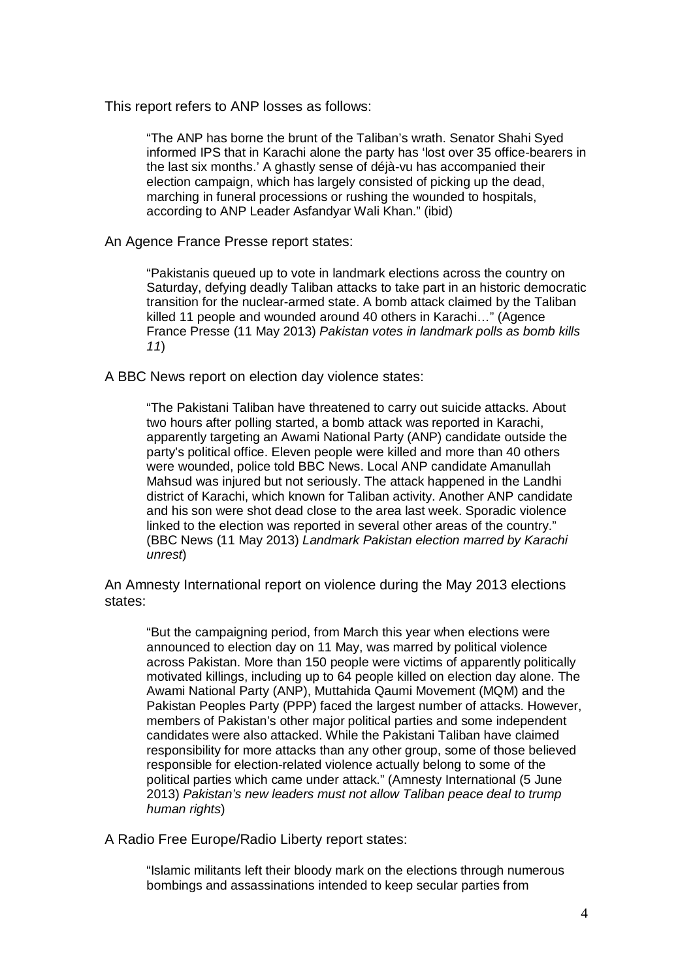This report refers to ANP losses as follows:

"The ANP has borne the brunt of the Taliban's wrath. Senator Shahi Syed informed IPS that in Karachi alone the party has 'lost over 35 office-bearers in the last six months.' A ghastly sense of déjà-vu has accompanied their election campaign, which has largely consisted of picking up the dead, marching in funeral processions or rushing the wounded to hospitals, according to ANP Leader Asfandyar Wali Khan." (ibid)

An Agence France Presse report states:

"Pakistanis queued up to vote in landmark elections across the country on Saturday, defying deadly Taliban attacks to take part in an historic democratic transition for the nuclear-armed state. A bomb attack claimed by the Taliban killed 11 people and wounded around 40 others in Karachi..." (Agence France Presse (11 May 2013) Pakistan votes in landmark polls as bomb kills 11)

A BBC News report on election day violence states:

"The Pakistani Taliban have threatened to carry out suicide attacks. About two hours after polling started, a bomb attack was reported in Karachi, apparently targeting an Awami National Party (ANP) candidate outside the party's political office. Eleven people were killed and more than 40 others were wounded, police told BBC News. Local ANP candidate Amanullah Mahsud was injured but not seriously. The attack happened in the Landhi district of Karachi, which known for Taliban activity. Another ANP candidate and his son were shot dead close to the area last week. Sporadic violence linked to the election was reported in several other areas of the country." (BBC News (11 May 2013) Landmark Pakistan election marred by Karachi unrest)

An Amnesty International report on violence during the May 2013 elections states:

"But the campaigning period, from March this year when elections were announced to election day on 11 May, was marred by political violence across Pakistan. More than 150 people were victims of apparently politically motivated killings, including up to 64 people killed on election day alone. The Awami National Party (ANP), Muttahida Qaumi Movement (MQM) and the Pakistan Peoples Party (PPP) faced the largest number of attacks. However, members of Pakistan's other major political parties and some independent candidates were also attacked. While the Pakistani Taliban have claimed responsibility for more attacks than any other group, some of those believed responsible for election-related violence actually belong to some of the political parties which came under attack." (Amnesty International (5 June 2013) Pakistan's new leaders must not allow Taliban peace deal to trump human rights)

A Radio Free Europe/Radio Liberty report states:

"Islamic militants left their bloody mark on the elections through numerous bombings and assassinations intended to keep secular parties from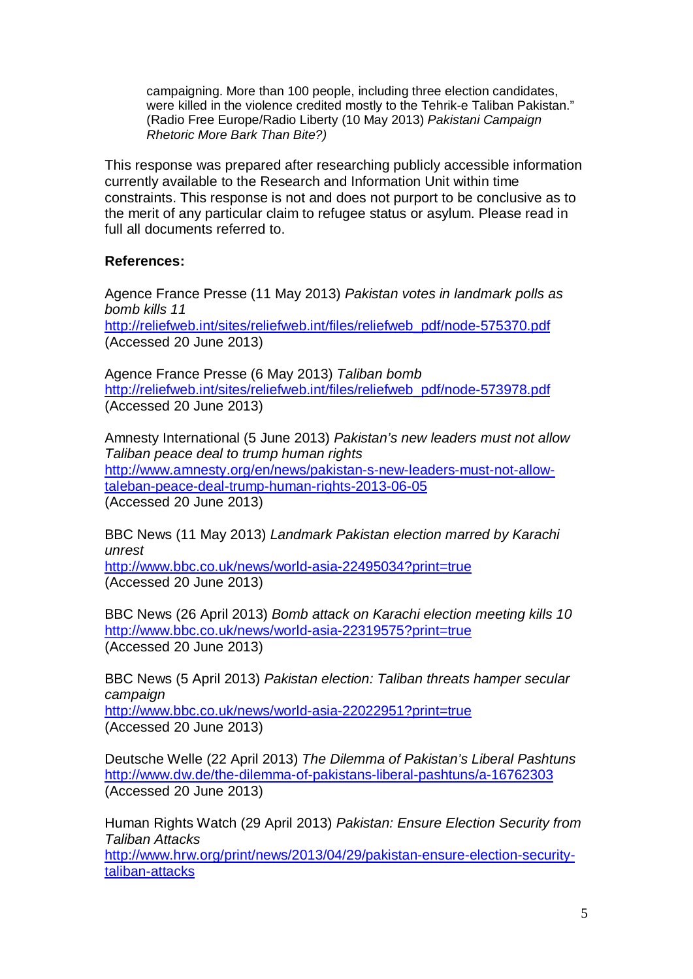campaigning. More than 100 people, including three election candidates, were killed in the violence credited mostly to the Tehrik-e Taliban Pakistan." (Radio Free Europe/Radio Liberty (10 May 2013) Pakistani Campaign Rhetoric More Bark Than Bite?)

This response was prepared after researching publicly accessible information currently available to the Research and Information Unit within time constraints. This response is not and does not purport to be conclusive as to the merit of any particular claim to refugee status or asylum. Please read in full all documents referred to.

# **References:**

Agence France Presse (11 May 2013) Pakistan votes in landmark polls as bomb kills 11 http://reliefweb.int/sites/reliefweb.int/files/reliefweb\_pdf/node-575370.pdf (Accessed 20 June 2013)

Agence France Presse (6 May 2013) Taliban bomb http://reliefweb.int/sites/reliefweb.int/files/reliefweb\_pdf/node-573978.pdf (Accessed 20 June 2013)

Amnesty International (5 June 2013) Pakistan's new leaders must not allow Taliban peace deal to trump human rights http://www.amnesty.org/en/news/pakistan-s-new-leaders-must-not-allowtaleban-peace-deal-trump-human-rights-2013-06-05 (Accessed 20 June 2013)

BBC News (11 May 2013) Landmark Pakistan election marred by Karachi unrest http://www.bbc.co.uk/news/world-asia-22495034?print=true (Accessed 20 June 2013)

BBC News (26 April 2013) Bomb attack on Karachi election meeting kills 10 http://www.bbc.co.uk/news/world-asia-22319575?print=true (Accessed 20 June 2013)

BBC News (5 April 2013) Pakistan election: Taliban threats hamper secular campaign http://www.bbc.co.uk/news/world-asia-22022951?print=true (Accessed 20 June 2013)

Deutsche Welle (22 April 2013) The Dilemma of Pakistan's Liberal Pashtuns http://www.dw.de/the-dilemma-of-pakistans-liberal-pashtuns/a-16762303 (Accessed 20 June 2013)

Human Rights Watch (29 April 2013) Pakistan: Ensure Election Security from Taliban Attacks http://www.hrw.org/print/news/2013/04/29/pakistan-ensure-election-security-

taliban-attacks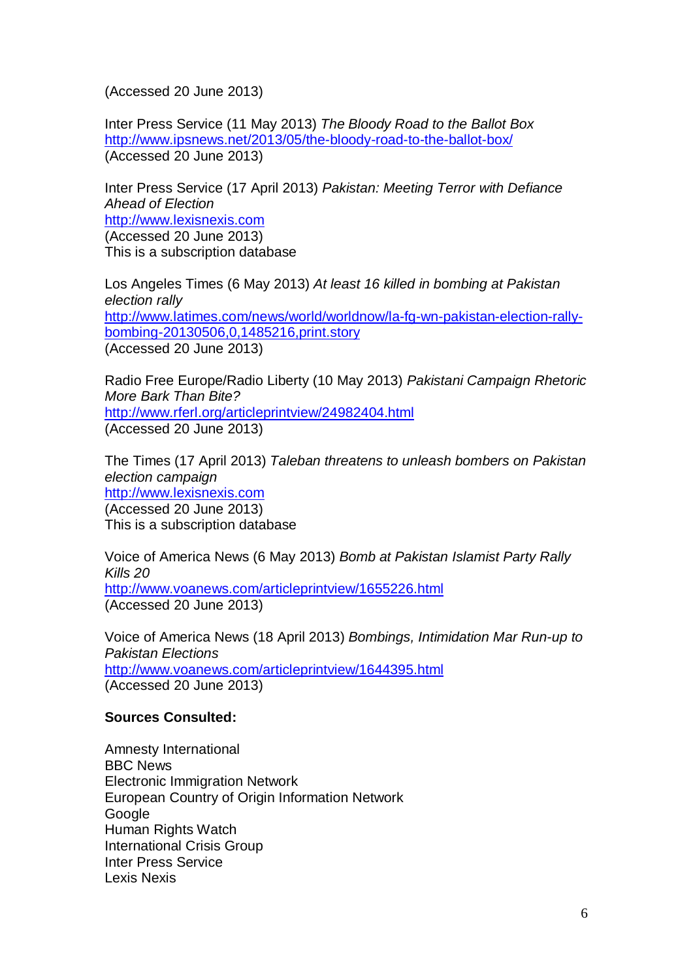(Accessed 20 June 2013)

Inter Press Service (11 May 2013) The Bloody Road to the Ballot Box http://www.ipsnews.net/2013/05/the-bloody-road-to-the-ballot-box/ (Accessed 20 June 2013)

Inter Press Service (17 April 2013) Pakistan: Meeting Terror with Defiance Ahead of Election http://www.lexisnexis.com (Accessed 20 June 2013) This is a subscription database

Los Angeles Times (6 May 2013) At least 16 killed in bombing at Pakistan election rally http://www.latimes.com/news/world/worldnow/la-fg-wn-pakistan-election-rallybombing-20130506,0,1485216,print.story (Accessed 20 June 2013)

Radio Free Europe/Radio Liberty (10 May 2013) Pakistani Campaign Rhetoric More Bark Than Bite? http://www.rferl.org/articleprintview/24982404.html (Accessed 20 June 2013)

The Times (17 April 2013) Taleban threatens to unleash bombers on Pakistan election campaign http://www.lexisnexis.com (Accessed 20 June 2013) This is a subscription database

Voice of America News (6 May 2013) Bomb at Pakistan Islamist Party Rally Kills 20 http://www.voanews.com/articleprintview/1655226.html (Accessed 20 June 2013)

Voice of America News (18 April 2013) Bombings, Intimidation Mar Run-up to Pakistan Elections http://www.voanews.com/articleprintview/1644395.html (Accessed 20 June 2013)

### **Sources Consulted:**

Amnesty International BBC News Electronic Immigration Network European Country of Origin Information Network Google Human Rights Watch International Crisis Group Inter Press Service Lexis Nexis